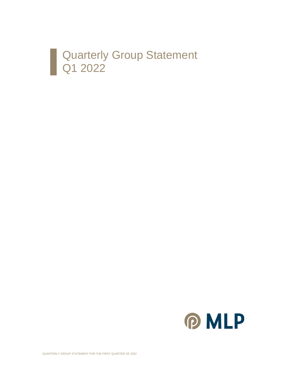

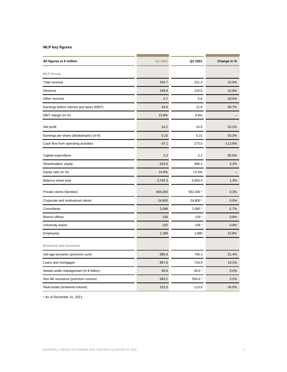#### **MLP key figures**

| All figures in € million                        | Q1 2022 | Q1 2021   | Change in % |
|-------------------------------------------------|---------|-----------|-------------|
| <b>MLP Group</b>                                |         |           |             |
| Total revenue                                   | 254.7   | 221.4     | 15.0%       |
| Revenue                                         | 249.9   | 215.6     | 15.9%       |
| Other revenue                                   | 4.7     | 5.8       | $-19.0%$    |
| Earnings before interest and taxes (EBIT)       | 34.6    | 21.8      | 58.7%       |
| EBIT margin (in %)                              | 13.6%   | 9.8%      |             |
| Net profit                                      | 24.2    | 15.8      | 53.2%       |
| Earnings per share (diluted/basic) (in €)       | 0.23    | 0.15      | 53.3%       |
| Cash flow from operating activities             | $-37.1$ | 273.5     | $-113.6%$   |
| Capital expenditure                             | 3.3     | 2.2       | 50.0%       |
| Shareholders' equity                            | 522.6   | 496.2     | 5.3%        |
| Equity ratio (in %)                             | 14.0%   | 13.4%     |             |
| Balance sheet total                             | 3,742.3 | 3,693.4   | 1.3%        |
| Private clients (families)                      | 564,200 | 562,300 1 | 0.3%        |
| Corporate and institutional clients             | 24,800  | 24,800 1  | 0.0%        |
| Consultants                                     | 2,048   | 2,083 1   | $-1.7%$     |
| <b>Branch offices</b>                           | 130     | 129 1     | 0.8%        |
| University teams                                | 102     | 106 1     | $-3.8%$     |
| Employees                                       | 2,188   | 1,890     | 15.8%       |
| <b>Brokered new business</b>                    |         |           |             |
| Old-age provision (premium sum)                 | 585.8   | 745.3     | $-21.4%$    |
| Loans and mortgages                             | 857.6   | 719.9     | 19.1%       |
| Assets under management (in $\epsilon$ billion) | 56.6    | 56.61     | 0.0%        |
| Non-life insurance (premium volume)             | 583.2   | 554.61    | 5.2%        |
| Real estate (brokered volume)                   | 152.0   | 113.0     | 34.5%       |

<sup>1</sup> As of December 31, 2021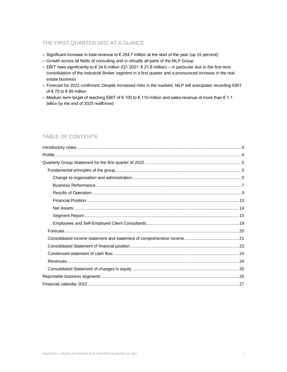## THE FIRST QUARTER 2022 AT A GLANCE

- Significant increase in total revenue to € 254.7 million at the start of the year (up 15 percent)
- Growth across all fields of consulting and in virtually all parts of the MLP Group
- EBIT rises significantly to € 34.6 million (Q1 2021: € 21.8 million) in particular due to the first-time consolidation of the Industrial Broker segment in a first quarter and a pronounced increase in the real estate business
- Forecast for 2022 confirmed: Despite increased risks in the markets, MLP still anticipates recording EBIT of € 75 to € 85 million
- Medium term target of reaching EBIT of € 100 to € 110 million and sales revenue of more than € 1.1 billion by the end of 2025 reaffirmed

## TABLE OF CONTENTS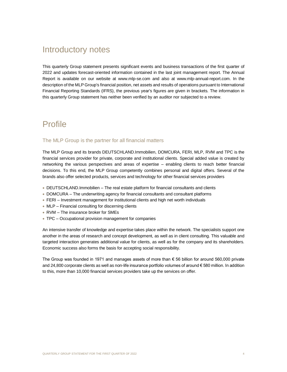## <span id="page-3-0"></span>Introductory notes

This quarterly Group statement presents significant events and business transactions of the first quarter of 2022 and updates forecast-oriented information contained in the last joint management report. The Annual Report is available on our website at www.mlp-se.com and also at www.mlp-annual-report.com. In the description of the MLP Group's financial position, net assets and results of operations pursuant to International Financial Reporting Standards (IFRS), the previous year's figures are given in brackets. The information in this quarterly Group statement has neither been verified by an auditor nor subjected to a review.

## <span id="page-3-1"></span>Profile

### The MLP Group is the partner for all financial matters

The MLP Group and its brands DEUTSCHLAND.Immobilien, DOMCURA, FERI, MLP, RVM and TPC is the financial services provider for private, corporate and institutional clients. Special added value is created by networking the various perspectives and areas of expertise – enabling clients to reach better financial decisions. To this end, the MLP Group competently combines personal and digital offers. Several of the brands also offer selected products, services and technology for other financial services providers

- DEUTSCHLAND.Immobilien The real estate platform for financial consultants and clients
- DOMCURA The underwriting agency for financial consultants and consultant platforms
- FERI Investment management for institutional clients and high net worth individuals
- MLP Financial consulting for discerning clients
- RVM The insurance broker for SMEs
- TPC Occupational provision management for companies

An intensive transfer of knowledge and expertise takes place within the network. The specialists support one another in the areas of research and concept development, as well as in client consulting. This valuable and targeted interaction generates additional value for clients, as well as for the company and its shareholders. Economic success also forms the basis for accepting social responsibility.

The Group was founded in 1971 and manages assets of more than € 56 billion for around 560,000 private and 24,800 corporate clients as well as non-life insurance portfolio volumes of around € 580 million. In addition to this, more than 10,000 financial services providers take up the services on offer.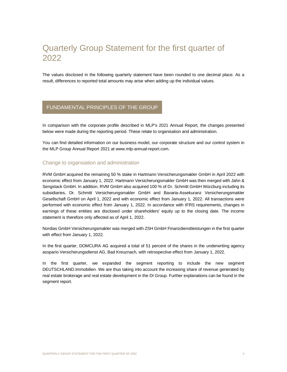# <span id="page-4-0"></span>Quarterly Group Statement for the first quarter of 2022

The values disclosed in the following quarterly statement have been rounded to one decimal place. As a result, differences to reported total amounts may arise when adding up the individual values.

## <span id="page-4-1"></span>FUNDAMENTAL PRINCIPLES OF THE GROUP

In comparison with the corporate profile described in MLP's 2021 Annual Report, the changes presented below were made during the reporting period. These relate to organisation and administration.

You can find detailed information on our business model, our corporate structure and our control system in the MLP Group Annual Report 2021 at www.mlp-annual-report.com.

### <span id="page-4-2"></span>Change to organsiation and administration

RVM GmbH acquired the remaining 50 % stake in Hartmann Versicherungsmakler GmbH in April 2022 with economic effect from January 1, 2022. Hartmann Versicherungsmakler GmbH was then merged with Jahn & Sengstack GmbH. In addition, RVM GmbH also acquired 100 % of Dr. Schmitt GmbH Würzburg including its subsidiaries, Dr. Schmitt Versicherungsmakler GmbH and Bavaria-Assekuranz Versicherungsmakler Gesellschaft GmbH on April 1, 2022 and with economic effect from January 1, 2022. All transactions were performed with economic effect from January 1, 2022. In accordance with IFRS requirements, changes in earnings of these entities are disclosed under shareholders' equity up to the closing date. The income statement is therefore only affected as of April 1, 2022.

Nordias GmbH Versicherungsmakler was merged with ZSH GmbH Finanzdienstleistungen in the first quarter with effect from January 1, 2022.

In the first quarter, DOMCURA AG acquired a total of 51 percent of the shares in the underwriting agency asspario Versicherungsdienst AG, Bad Kreuznach, with retrospective effect from January 1, 2022.

In the first quarter, we expanded the segment reporting to include the new segment DEUTSCHLAND.Immobilien. We are thus taking into account the increasing share of revenue generated by real estate brokerage and real estate development in the DI Group. Further explanations can be found in the segment report.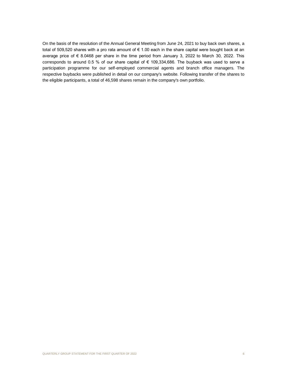On the basis of the resolution of the Annual General Meeting from June 24, 2021 to buy back own shares, a total of 509,520 shares with a pro rata amount of € 1.00 each in the share capital were bought back at an average price of € 8.0468 per share in the time period from January 3, 2022 to March 30, 2022. This corresponds to around 0.5 % of our share capital of € 109,334,686. The buyback was used to serve a participation programme for our self-employed commercial agents and branch office managers. The respective buybacks were published in detail on our company's website. Following transfer of the shares to the eligible participants, a total of 46,598 shares remain in the company's own portfolio.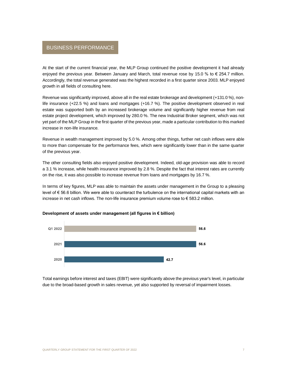## <span id="page-6-0"></span>BUSINESS PERFORMANCE

At the start of the current financial year, the MLP Group continued the positive development it had already enjoyed the previous year. Between January and March, total revenue rose by 15.0 % to  $\epsilon$  254.7 million. Accordingly, the total revenue generated was the highest recorded in a first quarter since 2003. MLP enjoyed growth in all fields of consulting here.

Revenue was significantly improved, above all in the real estate brokerage and development (+131.0 %), nonlife insurance (+22.5 %) and loans and mortgages (+16.7 %). The positive development observed in real estate was supported both by an increased brokerage volume and significantly higher revenue from real estate project development, which improved by 280.0 %. The new Industrial Broker segment, which was not yet part of the MLP Group in the first quarter of the previous year, made a particular contribution to this marked increase in non-life insurance.

Revenue in wealth management improved by 5.0 %. Among other things, further net cash inflows were able to more than compensate for the performance fees, which were significantly lower than in the same quarter of the previous year.

The other consulting fields also enjoyed positive development. Indeed, old-age provision was able to record a 3.1 % increase, while health insurance improved by 2.8 %. Despite the fact that interest rates are currently on the rise, it was also possible to increase revenue from loans and mortgages by 16.7 %.

In terms of key figures, MLP was able to maintain the assets under management in the Group to a pleasing level of € 56.6 billion. We were able to counteract the turbulence on the international capital markets with an increase in net cash inflows. The non-life insurance premium volume rose to € 583.2 million.



#### **Development of assets under management (all figures in € billion)**

Total earnings before interest and taxes (EBIT) were significantly above the previous year's level, in particular due to the broad-based growth in sales revenue, yet also supported by reversal of impairment losses.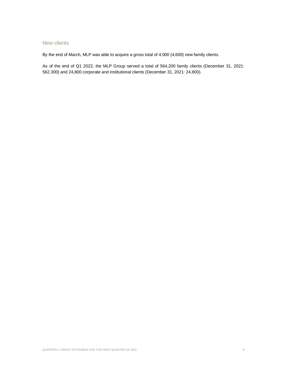## New clients

By the end of March, MLP was able to acquire a gross total of 4,000 (4,600) new family clients.

As of the end of Q1 2022, the MLP Group served a total of 564,200 family clients (December 31, 2021: 562,300) and 24,800 corporate and institutional clients (December 31, 2021: 24,800).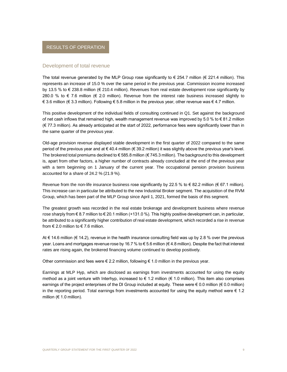#### <span id="page-8-0"></span>Development of total revenue

The total revenue generated by the MLP Group rose significantly to  $\epsilon$  254.7 million ( $\epsilon$  221.4 million). This represents an increase of 15.0 % over the same period in the previous year. Commission income increased by 13.5 % to € 238.8 million (€ 210.4 million). Revenues from real estate development rose significantly by 280.0 % to  $\epsilon$  7.6 million ( $\epsilon$  2.0 million). Revenue from the interest rate business increased slightly to € 3.6 million (€ 3.3 million). Following € 5.8 million in the previous year, other revenue was € 4.7 million.

This positive development of the individual fields of consulting continued in Q1. Set against the background of net cash inflows that remained high, wealth management revenue was improved by 5.0 % to  $\epsilon$  81.2 million (€ 77.3 million). As already anticipated at the start of 2022, performance fees were significantly lower than in the same quarter of the previous year.

Old-age provision revenue displayed stable development in the first quarter of 2022 compared to the same period of the previous year and at € 40.4 million (€ 39.2 million) it was slightly above the previous year's level. The brokered total premiums declined to € 585.8 million (€ 745.3 million). The background to this development is, apart from other factors, a higher number of contracts already concluded at the end of the previous year with a term beginning on 1 January of the current year. The occupational pension provision business accounted for a share of 24.2 % (21.9 %).

Revenue from the non-life insurance business rose significantly by 22.5 % to  $\epsilon$  82.2 million ( $\epsilon$  67.1 million). This increase can in particular be attributed to the new Industrial Broker segment. The acquisition of the RVM Group, which has been part of the MLP Group since April 1, 2021, formed the basis of this segment.

The greatest growth was recorded in the real estate brokerage and development business where revenue rose sharply from € 8.7 million to € 20.1 million (+131.0 %). This highly positive development can, in particular, be attributed to a significantly higher contribution of real estate development, which recorded a rise in revenue from  $\in$  2.0 million to  $\in$  7.6 million.

At € 14.6 million (€ 14.2), revenue in the health insurance consulting field was up by 2.8 % over the previous year. Loans and mortgages revenue rose by 16.7 % to € 5.6 million (€ 4.8 million). Despite the fact that interest rates are rising again, the brokered financing volume continued to develop positively.

Other commission and fees were  $\in$  2.2 million, following  $\in$  1.0 million in the previous year.

Earnings at MLP Hyp, which are disclosed as earnings from investments accounted for using the equity method as a joint venture with Interhyp, increased to  $\in$  1.2 million ( $\in$  1.0 million). This item also comprises earnings of the project enterprises of the DI Group included at equity. These were  $\epsilon$  0.0 million ( $\epsilon$  0.0 million) in the reporting period. Total earnings from investments accounted for using the equity method were  $\epsilon$  1.2 million ( $€ 1.0$  million).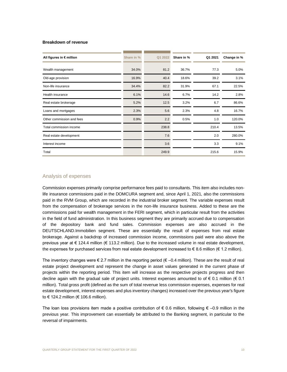#### **Breakdown of revenue**

| All figures in € million  | Share in % | Q1 2022 | Share in % | Q1 2021 | Change in % |
|---------------------------|------------|---------|------------|---------|-------------|
| Wealth management         | 34.0%      | 81.2    | 36.7%      | 77.3    | 5.0%        |
| Old-age provision         | 16.9%      | 40.4    | 18.6%      | 39.2    | 3.1%        |
| Non-life insurance        | 34.4%      | 82.2    | 31.9%      | 67.1    | 22.5%       |
| Health insurance          | 6.1%       | 14.6    | 6.7%       | 14.2    | 2.8%        |
| Real estate brokerage     | 5.2%       | 12.5    | 3.2%       | 6.7     | 86.6%       |
| Loans and mortgages       | 2.3%       | 5.6     | 2.3%       | 4.8     | 16.7%       |
| Other commission and fees | 0.9%       | 2.2     | 0.5%       | 1.0     | 120.0%      |
| Total commission income   |            | 238.8   |            | 210.4   | 13.5%       |
| Real estate development   |            | 7.6     |            | 2.0     | 280.0%      |
| Interest income           |            | 3.6     |            | 3.3     | 9.1%        |
| Total                     |            | 249.9   |            | 215.6   | 15.9%       |

### Analysis of expenses

Commission expenses primarily comprise performance fees paid to consultants. This item also includes nonlife insurance commissions paid in the DOMCURA segment and, since April 1, 2021, also the commissions paid in the RVM Group, which are recorded in the industrial broker segment. The variable expenses result from the compensation of brokerage services in the non-life insurance business. Added to these are the commissions paid for wealth management in the FERI segment, which in particular result from the activities in the field of fund administration. In this business segment they are primarily accrued due to compensation of the depository bank and fund sales. Commission expenses are also accrued in the DEUTSCHLAND.Immobilien segment. These are essentially the result of expenses from real estate brokerage. Against a backdrop of increased commission income, commissions paid were also above the previous year at € 124.4 million (€ 113.2 million). Due to the increased volume in real estate development, the expenses for purchased services from real estate development increased to  $\epsilon$  8.6 million ( $\epsilon$  1.2 million).

The inventory changes were  $\epsilon$  2.7 million in the reporting period ( $\epsilon$  –0.4 million). These are the result of real estate project development and represent the change in asset values generated in the current phase of projects within the reporting period. This item will increase as the respective projects progress and then decline again with the gradual sale of project units. Interest expenses amounted to of € 0.1 million (€ 0.1 million). Total gross profit (defined as the sum of total revenue less commission expenses, expenses for real estate development, interest expenses and plus inventory changes) increased over the previous year's figure to € 124.2 million (€ 106.6 million).

The loan loss provisions item made a positive contribution of  $\epsilon$  0.6 million, following  $\epsilon$  –0.9 million in the previous year. This improvement can essentially be attributed to the Banking segment, in particular to the reversal of impairments.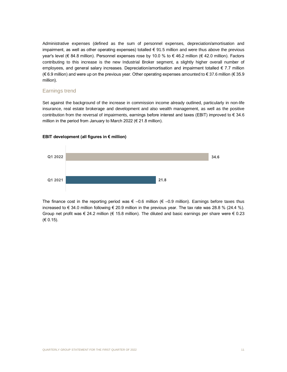Administrative expenses (defined as the sum of personnel expenses, depreciation/amortisation and impairment, as well as other operating expenses) totalled € 91.5 million and were thus above the previous year's level (€ 84.8 million). Personnel expenses rose by 10.0 % to € 46.2 million (€ 42.0 million). Factors contributing to this increase is the new Industrial Broker segment, a slightly higher overall number of employees, and general salary increases. Depreciation/amortisation and impairment totalled  $\epsilon$  7.7 million (€ 6.9 million) and were up on the previous year. Other operating expenses amounted to € 37.6 million (€ 35.9 million).

### Earnings trend

Set against the background of the increase in commission income already outlined, particularly in non-life insurance, real estate brokerage and development and also wealth management, as well as the positive contribution from the reversal of impairments, earnings before interest and taxes (EBIT) improved to € 34.6 million in the period from January to March 2022 (€ 21.8 million).



#### **EBIT development (all figures in € million)**

The finance cost in the reporting period was  $\epsilon$  –0.6 million ( $\epsilon$  –0.9 million). Earnings before taxes thus increased to  $\in$  34.0 million following  $\in$  20.9 million in the previous year. The tax rate was 28.8 % (24.4 %). Group net profit was  $\epsilon$  24.2 million ( $\epsilon$  15.8 million). The diluted and basic earnings per share were  $\epsilon$  0.23 (€ 0.15).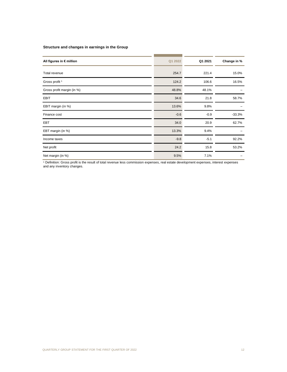#### **Structure and changes in earnings in the Group**

| All figures in € million   | Q1 2022 | Q1 2021 | Change in % |
|----------------------------|---------|---------|-------------|
| Total revenue              | 254.7   | 221.4   | 15.0%       |
| Gross profit <sup>1</sup>  | 124.2   | 106.6   | 16.5%       |
| Gross profit margin (in %) | 48.8%   | 48.1%   |             |
| <b>EBIT</b>                | 34.6    | 21.8    | 58.7%       |
| EBIT margin (in %)         | 13.6%   | 9.8%    |             |
| Finance cost               | $-0.6$  | $-0.9$  | $-33.3%$    |
| <b>EBT</b>                 | 34.0    | 20.9    | 62.7%       |
| EBT margin (in %)          | 13.3%   | 9.4%    |             |
| Income taxes               | $-9.8$  | $-5.1$  | 92.2%       |
| Net profit                 | 24.2    | 15.8    | 53.2%       |
| Net margin (in %)          | 9.5%    | 7.1%    |             |

<sup>1</sup> Definition: Gross profit is the result of total revenue less commission expenses, real estate development expenses, interest expenses and any inventory changes.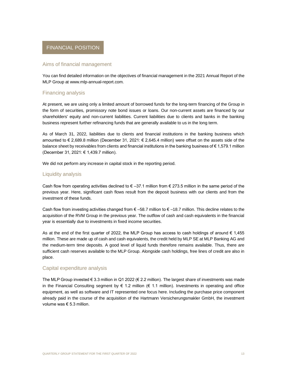## <span id="page-12-0"></span>FINANCIAL POSITION

#### Aims of financial management

You can find detailed information on the objectives of financial management in the 2021 Annual Report of the MLP Group at www.mlp-annual-report.com.

#### Financing analysis

At present, we are using only a limited amount of borrowed funds for the long-term financing of the Group in the form of securities, promissory note bond issues or loans. Our non-current assets are financed by our shareholders' equity and non-current liabilities. Current liabilities due to clients and banks in the banking business represent further refinancing funds that are generally available to us in the long term.

As of March 31, 2022, liabilities due to clients and financial institutions in the banking business which amounted to € 2,689.8 million (December 31, 2021: € 2,645.4 million) were offset on the assets side of the balance sheet by receivables from clients and financial institutions in the banking business of  $\epsilon$  1,579.1 million (December 31, 2021: € 1,439.7 million).

We did not perform any increase in capital stock in the reporting period.

#### Liquidity analysis

Cash flow from operating activities declined to  $\epsilon$  –37.1 million from  $\epsilon$  273.5 million in the same period of the previous year. Here, significant cash flows result from the deposit business with our clients and from the investment of these funds.

Cash flow from investing activities changed from  $\epsilon$  –58.7 million to  $\epsilon$  –18.7 million. This decline relates to the acquisition of the RVM Group in the previous year. The outflow of cash and cash equivalents in the financial year is essentially due to investments in fixed income securities.

As at the end of the first quarter of 2022, the MLP Group has access to cash holdings of around  $\epsilon$  1,455 million. These are made up of cash and cash equivalents, the credit held by MLP SE at MLP Banking AG and the medium-term time deposits. A good level of liquid funds therefore remains available. Thus, there are sufficient cash reserves available to the MLP Group. Alongside cash holdings, free lines of credit are also in place.

#### Capital expenditure analysis

The MLP Group invested € 3.3 million in Q1 2022 (€ 2.2 million). The largest share of investments was made in the Financial Consulting segment by  $\epsilon$  1.2 million ( $\epsilon$  1.1 million). Investments in operating and office equipment, as well as software and IT represented one focus here. Including the purchase price component already paid in the course of the acquisition of the Hartmann Versicherungsmakler GmbH, the investment volume was  $\epsilon$  5.3 million.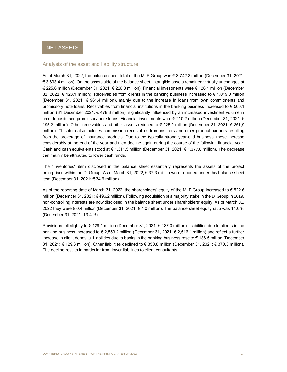#### <span id="page-13-0"></span>Analysis of the asset and liability structure

As of March 31, 2022, the balance sheet total of the MLP Group was € 3,742.3 million (December 31, 2021: € 3,693.4 million). On the assets side of the balance sheet, intangible assets remained virtually unchanged at € 225.6 million (December 31, 2021: € 226.8 million). Financial investments were € 126.1 million (December 31, 2021: € 128.1 million). Receivables from clients in the banking business increased to € 1,019.0 million (December 31, 2021: € 961,4 million), mainly due to the increase in loans from own commitments and promissory note loans. Receivables from financial institutions in the banking business increased to  $\epsilon$  560.1 million (31 December 2021: € 478.3 million), significantly influenced by an increased investment volume in time deposits and promissory note loans. Financial investments were € 210.2 million (December 31, 2021: € 195.2 million). Other receivables and other assets reduced to € 225,2 million (December 31, 2021: € 261,9 million). This item also includes commission receivables from insurers and other product partners resulting from the brokerage of insurance products. Due to the typically strong year-end business, these increase considerably at the end of the year and then decline again during the course of the following financial year. Cash and cash equivalents stood at € 1,311.5 million (December 31, 2021: € 1,377.8 million). The decrease can mainly be attributed to lower cash funds.

The "Inventories" item disclosed in the balance sheet essentially represents the assets of the project enterprises within the DI Group. As of March 31, 2022, € 37.3 million were reported under this balance sheet item (December 31, 2021: € 34.6 million).

As of the reporting date of March 31, 2022, the shareholders' equity of the MLP Group increased to  $\epsilon$  522.6 million (December 31, 2021: € 496.2 million). Following acquisition of a majority stake in the DI Group in 2019, non-controlling interests are now disclosed in the balance sheet under shareholders' equity. As of March 31, 2022 they were € 0.4 million (December 31, 2021: € 1.0 million). The balance sheet equity ratio was 14.0 % (December 31, 2021: 13.4 %).

Provisions fell slightly to € 129.1 million (December 31, 2021: € 137.0 million). Liabilities due to clients in the banking business increased to € 2,553.2 million (December 31, 2021: € 2,516.1 million) and reflect a further increase in client deposits. Liabilities due to banks in the banking business rose to € 136.5 million (December 31, 2021: € 129.3 million). Other liabilities declined to € 350.8 million (December 31, 2021: € 370.3 million). The decline results in particular from lower liabilities to client consultants.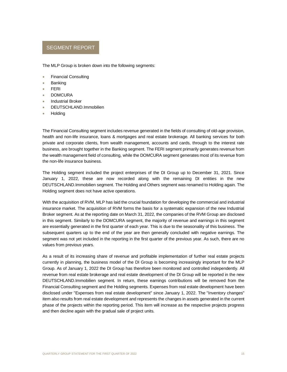## <span id="page-14-0"></span>SEGMENT REPORT

The MLP Group is broken down into the following segments:

- Financial Consulting
- **Banking**
- **FERI**
- DOMCURA
- Industrial Broker
- DEUTSCHLAND.Immobilien
- Holding

The Financial Consulting segment includes revenue generated in the fields of consulting of old-age provision, health and non-life insurance, loans & mortgages and real estate brokerage. All banking services for both private and corporate clients, from wealth management, accounts and cards, through to the interest rate business, are brought together in the Banking segment. The FERI segment primarily generates revenue from the wealth management field of consulting, while the DOMCURA segment generates most of its revenue from the non-life insurance business.

The Holding segment included the project enterprises of the DI Group up to December 31, 2021. Since January 1, 2022, these are now recorded along with the remaining DI entities in the new DEUTSCHLAND.Immobilien segment. The Holding and Others segment was renamed to Holding again. The Holding segment does not have active operations.

With the acquisition of RVM, MLP has laid the crucial foundation for developing the commercial and industrial insurance market. The acquisition of RVM forms the basis for a systematic expansion of the new Industrial Broker segment. As at the reporting date on March 31, 2022, the companies of the RVM Group are disclosed in this segment. Similarly to the DOMCURA segment, the majority of revenue and earnings in this segment are essentially generated in the first quarter of each year. This is due to the seasonality of this business. The subsequent quarters up to the end of the year are then generally concluded with negative earnings. The segment was not yet included in the reporting in the first quarter of the previous year. As such, there are no values from previous years.

As a result of its increasing share of revenue and profitable implementation of further real estate projects currently in planning, the business model of the DI Group is becoming increasingly important for the MLP Group. As of January 1, 2022 the DI Group has therefore been monitored and controlled independently. All revenue from real estate brokerage and real estate development of the DI Group will be reported in the new DEUTSCHLAND.Immobilien segment. In return, these earnings contributions will be removed from the Financial Consulting segment and the Holding segments. Expenses from real estate development have been disclosed under "Expenses from real estate development" since January 1, 2022. The "Inventory changes" item also results from real estate development and represents the changes in assets generated in the current phase of the projects within the reporting period. This item will increase as the respective projects progress and then decline again with the gradual sale of project units.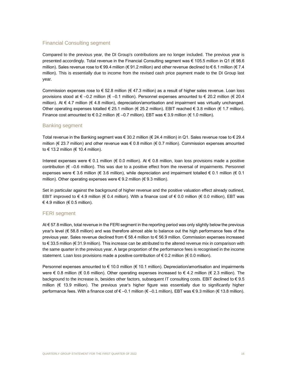### Financial Consulting segment

Compared to the previous year, the DI Group's contributions are no longer included. The previous year is presented accordingly. Total revenue in the Financial Consulting segment was € 105.5 million in Q1 (€ 98.6 million). Sales revenue rose to € 99.4 million (€ 91.2 million) and other revenue declined to € 6.1 million (€ 7.4 million). This is essentially due to income from the revised cash price payment made to the DI Group last year.

Commission expenses rose to  $\epsilon$  52.8 million ( $\epsilon$  47.3 million) as a result of higher sales revenue. Loan loss provisions stood at  $\epsilon$  –0.2 million ( $\epsilon$  –0.1 million). Personnel expenses amounted to  $\epsilon$  20.2 million ( $\epsilon$  20.4 million). At € 4.7 million (€ 4.8 million), depreciation/amortisation and impairment was virtually unchanged. Other operating expenses totalled  $\epsilon$  25.1 million ( $\epsilon$  25.2 million). EBIT reached  $\epsilon$  3.8 million ( $\epsilon$  1.7 million). Finance cost amounted to € 0.2 million (€ -0.7 million). EBT was € 3.9 million (€ 1.0 million).

### Banking segment

Total revenue in the Banking segment was € 30.2 million (€ 24.4 million) in Q1. Sales revenue rose to € 29.4 million (€ 23.7 million) and other revenue was € 0.8 million (€ 0.7 million). Commission expenses amounted to € 13.2 million (€ 10.4 million).

Interest expenses were  $\epsilon$  0.1 million ( $\epsilon$  0.0 million). At  $\epsilon$  0.8 million, loan loss provisions made a positive contribution (€ –0.6 million). This was due to a positive effect from the reversal of impairments. Personnel expenses were € 3.6 million (€ 3.6 million), while depreciation and impairment totalled € 0.1 million (€ 0.1 million). Other operating expenses were € 9.2 million (€ 9.3 million).

Set in particular against the background of higher revenue and the positive valuation effect already outlined, EBIT improved to €4.9 million (€0.4 million). With a finance cost of €0.0 million (€0.0 million), EBT was € 4.9 million (€ 0.5 million).

#### FERI segment

At € 57.8 million, total revenue in the FERI segment in the reporting period was only slightly below the previous year's level (€ 58.8 million) and was therefore almost able to balance out the high performance fees of the previous year. Sales revenue declined from € 58.4 million to € 56.9 million. Commission expenses increased to € 33.5 million (€ 31.9 million). This increase can be attributed to the altered revenue mix in comparison with the same quarter in the previous year. A large proportion of the performance fees is recognised in the income statement. Loan loss provisions made a positive contribution of  $\epsilon$  0.2 million ( $\epsilon$  0.0 million).

Personnel expenses amounted to € 10.0 million (€ 10.1 million). Depreciation/amortisation and impairments were  $\epsilon$  0.8 million ( $\epsilon$  0.6 million). Other operating expenses increased to  $\epsilon$  4.2 million ( $\epsilon$  2.3 million). The background to the increase is, besides other factors, subsequent IT consulting costs. EBIT declined to  $\epsilon$  9.5 million (€ 13.9 million). The previous year's higher figure was essentially due to significantly higher performance fees. With a finance cost of € –0.1 million (€ –0.1 million), EBT was € 9.3 million (€ 13.8 million).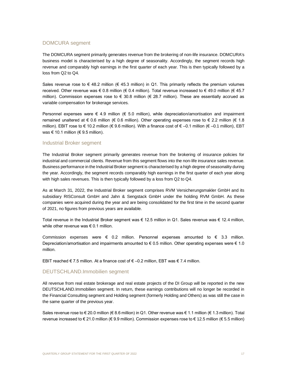## DOMCURA segment

The DOMCURA segment primarily generates revenue from the brokering of non-life insurance. DOMCURA's business model is characterised by a high degree of seasonality. Accordingly, the segment records high revenue and comparably high earnings in the first quarter of each year. This is then typically followed by a loss from Q2 to Q4.

Sales revenue rose to  $\epsilon$  48.2 million ( $\epsilon$  45.3 million) in Q1. This primarily reflects the premium volumes received. Other revenue was € 0.8 million (€ 0.4 million). Total revenue increased to € 49.0 million (€ 45.7 million). Commission expenses rose to € 30.8 million (€ 28.7 million). These are essentially accrued as variable compensation for brokerage services.

Personnel expenses were  $\in$  4.9 million ( $\in$  5.0 million), while depreciation/amortisation and impairment remained unaltered at € 0.6 million (€ 0.6 million). Other operating expenses rose to € 2.2 million (€ 1.8 million). EBIT rose to € 10.2 million (€ 9.6 million). With a finance cost of € –0.1 million (€ –0.1 million), EBT was  $\epsilon$  10.1 million ( $\epsilon$  9.5 million).

#### Industrial Broker segment

The Industrial Broker segment primarily generates revenue from the brokering of insurance policies for industrial and commercial clients. Revenue from this segment flows into the non-life insurance sales revenue. Business performance in the Industrial Broker segment is characterised by a high degree of seasonality during the year. Accordingly, the segment records comparably high earnings in the first quarter of each year along with high sales revenues. This is then typically followed by a loss from Q2 to Q4.

As at March 31, 2022, the Industrial Broker segment comprises RVM Versicherungsmakler GmbH and its subsidiary RISConsult GmbH and Jahn & Sengstack GmbH under the holding RVM GmbH. As these companies were acquired during the year and are being consolidated for the first time in the second quarter of 2021, no figures from previous years are available.

Total revenue in the Industrial Broker segment was € 12.5 million in Q1. Sales revenue was € 12.4 million, while other revenue was  $\epsilon$  0.1 million.

Commission expenses were  $\epsilon$  0.2 million. Personnel expenses amounted to  $\epsilon$  3.3 million. Depreciation/amortisation and impairments amounted to € 0.5 million. Other operating expenses were € 1.0 million.

EBIT reached € 7.5 million. At a finance cost of € –0.2 million, EBT was € 7.4 million.

#### DEUTSCHLAND.Immobilien segment

All revenue from real estate brokerage and real estate projects of the DI Group will be reported in the new DEUTSCHLAND.Immobilien segment. In return, these earnings contributions will no longer be recorded in the Financial Consulting segment and Holding segment (formerly Holding and Others) as was still the case in the same quarter of the previous year.

Sales revenue rose to € 20.0 million (€ 8.6 million) in Q1. Other revenue was € 1.1 million (€ 1.3 million). Total revenue increased to € 21.0 million (€ 9.9 million). Commission expenses rose to € 12.5 million (€ 5.5 million)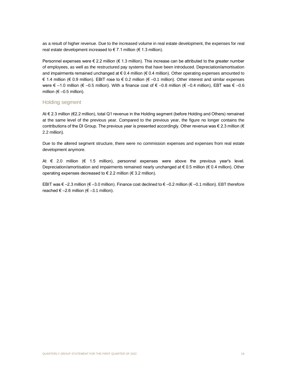as a result of higher revenue. Due to the increased volume in real estate development, the expenses for real real estate development increased to  $\epsilon$  7.1 million ( $\epsilon$  1.3 million).

Personnel expenses were  $\epsilon$  2.2 million ( $\epsilon$  1.3 million). This increase can be attributed to the greater number of employees, as well as the restructured pay systems that have been introduced. Depreciation/amortisation and impairments remained unchanged at € 0.4 million (€ 0.4 million). Other operating expenses amounted to € 1.4 million (€ 0.9 million). EBIT rose to € 0.2 million (€ –0.1 million). Other interest and similar expenses were € –1.0 million (€ –0.5 million). With a finance cost of € –0.8 million (€ –0.4 million), EBT was € –0.6 million ( $\epsilon$  –0.5 million).

#### Holding segment

At € 2.3 million (€2.2 million), total Q1 revenue in the Holding segment (before Holding and Others) remained at the same level of the previous year. Compared to the previous year, the figure no longer contains the contributions of the DI Group. The previous year is presented accordingly. Other revenue was  $\in$  2.3 million ( $\in$ 2.2 million).

Due to the altered segment structure, there were no commission expenses and expenses from real estate development anymore.

At € 2.0 million (€ 1.5 million), personnel expenses were above the previous year's level. Depreciation/amortisation and impairments remained nearly unchanged at € 0.5 million (€ 0.4 million). Other operating expenses decreased to € 2.2 million (€ 3.2 million).

EBIT was € –2.3 million (€ –3.0 million). Finance cost declined to € –0.2 million (€ –0.1 million). EBT therefore reached  $\epsilon$  –2.6 million ( $\epsilon$  –3.1 million).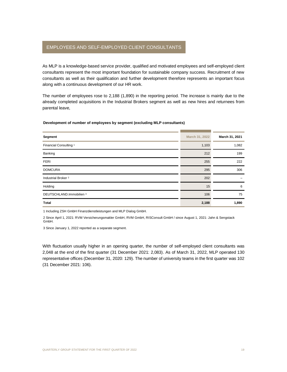## <span id="page-18-0"></span>EMPLOYEES AND SELF-EMPLOYED CLIENT CONSULTANTS

As MLP is a knowledge-based service provider, qualified and motivated employees and self-employed client consultants represent the most important foundation for sustainable company success. Recruitment of new consultants as well as their qualification and further development therefore represents an important focus along with a continuous development of our HR work.

The number of employees rose to 2,188 (1,890) in the reporting period. The increase is mainly due to the already completed acquisitions in the Industrial Brokers segment as well as new hires and returnees from parental leave,

#### **Development of number of employees by segment (excluding MLP consultants)**

| Segment                           | March 31, 2022 | March 31, 2021 |
|-----------------------------------|----------------|----------------|
| Financial Consulting <sup>1</sup> | 1,103          | 1,082          |
| Banking                           | 212            | 199            |
| <b>FERI</b>                       | 255            | 222            |
| <b>DOMCURA</b>                    | 295            | 306            |
| Industrial Broker <sup>2</sup>    | 202            |                |
| Holding                           | 15             | 6              |
| DEUTSCHLAND.Immobilien 3          | 106            | 75             |
| <b>Total</b>                      | 2,188          | 1,890          |

1 Including ZSH GmbH Finanzdienstleistungen and MLP Dialog GmbH.

2 Since April 1, 2021: RVM Versicherungsmakler GmbH, RVM GmbH, RISConsult GmbH / since August 1, 2021: Jahn & Sengstack GmbH.

3 Since January 1, 2022 reported as a separate segment.

With fluctuation usually higher in an opening quarter, the number of self-employed client consultants was 2,048 at the end of the first quarter (31 December 2021: 2,083). As of March 31, 2022, MLP operated 130 representative offices (December 31, 2020: 129). The number of university teams in the first quarter was 102 (31 December 2021: 106).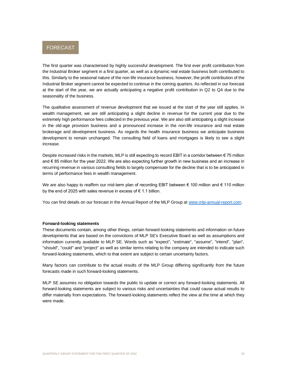<span id="page-19-0"></span>

The first quarter was characterised by highly successful development. The first ever profit contribution from the Industrial Broker segment in a first quarter, as well as a dynamic real estate business both contributed to this. Similarly to the seasonal nature of the non-life insurance business, however, the profit contribution of the Industrial Broker segment cannot be expected to continue in the coming quarters. As reflected in our forecast at the start of the year, we are actually anticipating a negative profit contribution in Q2 to Q4 due to the seasonality of the business.

The qualitative assessment of revenue development that we issued at the start of the year still applies. In wealth management, we are still anticipating a slight decline in revenue for the current year due to the extremely high performance fees collected in the previous year. We are also still anticipating a slight increase in the old-age provision business and a pronounced increase in the non-life insurance and real estate brokerage and development business. As regards the health insurance business we anticipate business development to remain unchanged. The consulting field of loans and mortgages is likely to see a slight increase.

Despite increased risks in the markets, MLP is still expecting to record EBIT in a corridor between  $\epsilon$  75 million and € 85 million for the year 2022. We are also expecting further growth in new business and an increase in recurring revenue in various consulting fields to largely compensate for the decline that is to be anticipated in terms of performance fees in wealth management.

We are also happy to reaffirm our mid-term plan of recording EBIT between € 100 million and € 110 million by the end of 2025 with sales revenue in excess of € 1.1 billion.

You can find details on our forecast in the Annual Report of the MLP Group at [www.mlp-annual-report.com.](http://www.mlp-annual-report.com/)

#### **Forward-looking statements**

These documents contain, among other things, certain forward-looking statements and information on future developments that are based on the convictions of MLP SE's Executive Board as well as assumptions and information currently available to MLP SE. Words such as "expect", "estimate", "assume", "intend", "plan", "should", "could" and "project" as well as similar terms relating to the company are intended to indicate such forward-looking statements, which to that extent are subject to certain uncertainty factors.

Many factors can contribute to the actual results of the MLP Group differing significantly from the future forecasts made in such forward-looking statements.

MLP SE assumes no obligation towards the public to update or correct any forward-looking statements. All forward-looking statements are subject to various risks and uncertainties that could cause actual results to differ materially from expectations. The forward-looking statements reflect the view at the time at which they were made.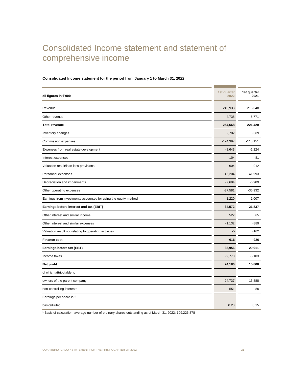# <span id="page-20-0"></span>Consolidated Income statement and statement of comprehensive income

| all figures in €'000                                            | 1st quarter<br>2022 | 1st quarter<br>2021 |
|-----------------------------------------------------------------|---------------------|---------------------|
| Revenue                                                         | 249,933             | 215,648             |
| Other revenue                                                   | 4,735               | 5,771               |
| <b>Total revenue</b>                                            | 254,668             | 221,420             |
| Inventory changes                                               | 2,702               | $-389$              |
| Commission expenses                                             | $-124,397$          | $-113,151$          |
| Expenses from real estate development                           | $-8,643$            | $-1,224$            |
| Interest expenses                                               | $-104$              | -81                 |
| Valuation result/loan loss provisions                           | 604                 | $-912$              |
| Personnel expenses                                              | $-46,204$           | $-41,993$           |
| Depreciation and impairments                                    | $-7,694$            | $-6,909$            |
| Other operating expenses                                        | $-37,581$           | $-35,932$           |
| Earnings from investments accounted for using the equity method | 1,220               | 1,007               |
| Earnings before interest and tax (EBIT)                         | 34,572              | 21,837              |
| Other interest and similar income                               | 522                 | 65                  |
| Other interest and similar expenses                             | $-1,132$            | $-889$              |
| Valuation result not relating to operating activities           | -5                  | $-102$              |
| <b>Finance cost</b>                                             | $-616$              | -926                |
| Earnings before tax (EBT)                                       | 33,956              | 20,911              |
| Income taxes                                                    | $-9,770$            | $-5,103$            |
| Net profit                                                      | 24,186              | 15,808              |
| of which attributable to                                        |                     |                     |
| owners of the parent company                                    | 24,737              | 15,888              |
| non-controlling interests                                       | $-551$              | $-80$               |
| Earnings per share in $\epsilon$ <sup>1</sup>                   |                     |                     |
| basic/diluted                                                   | 0.23                | 0.15                |
|                                                                 |                     |                     |

#### **Consolidated Income statement for the period from January 1 to March 31, 2022**

<sup>1</sup> Basis of calculation: average number of ordinary shares outstanding as of March 31, 2022: 109.226.878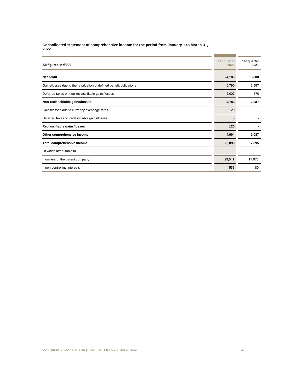**Consolidated statement of comprehensive income for the period from January 1 to March 31, 2022**

| All figures in €'000                                               | 1st quarter<br>2022 | 1st quarter<br>2021 |
|--------------------------------------------------------------------|---------------------|---------------------|
| Net profit                                                         | 24,186              | 15,808              |
| Gains/losses due to the revaluation of defined benefit obligations | 6,790               | 2,957               |
| Deferred taxes on non-reclassifiable gains/losses                  | $-2,007$            | $-870$              |
| Non-reclassifiable gains/losses                                    | 4,783               | 2,087               |
| Gains/losses due to currency exchange rates                        | 120                 |                     |
| Deferred taxes on reclassifiable gains/losses                      |                     |                     |
| Reclassifiable gains/losses                                        | 120                 |                     |
| Other comprehensive income                                         | 4,904               | 2,087               |
| Total comprehensive income                                         | 29,090              | 17,895              |
| Of which attributable to                                           |                     |                     |
| owners of the parent company                                       | 29,641              | 17,975              |
| non-controlling interests                                          | $-551$              | $-80$               |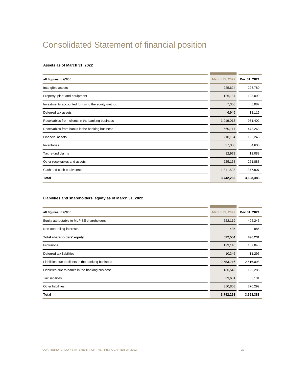# <span id="page-22-0"></span>Consolidated Statement of financial position

#### **Assets as of March 31, 2022**

| all figures in €'000                              | March 31, 2022 | Dec 31, 2021 |
|---------------------------------------------------|----------------|--------------|
| Intangible assets                                 | 225,624        | 226,780      |
| Property, plant and equipment                     | 126,137        | 128,099      |
| Investments accounted for using the equity method | 7,306          | 6,087        |
| Deferred tax assets                               | 6,945          | 11,115       |
| Receivables from clients in the banking business  | 1,019,013      | 961,402      |
| Receivables from banks in the banking business    | 560,117        | 478,263      |
| <b>Financial assets</b>                           | 210,154        | 195,248      |
| Inventories                                       | 37,308         | 34,606       |
| Tax refund claims                                 | 12,973         | 12,088       |
| Other receivables and assets                      | 225,158        | 261,888      |
| Cash and cash equivalents                         | 1,311,528      | 1,377,807    |
| Total                                             | 3,742,263      | 3,693,383    |

#### **Liabilities and shareholders' equity as of March 31, 2022**

| all figures in €'000                               | March 31, 2022 | Dec 31, 2021 |
|----------------------------------------------------|----------------|--------------|
| Equity attributable to MLP SE shareholders         | 522,119        | 495,245      |
| Non-controlling interests                          | 435            | 986          |
| Total shareholders' equity                         | 522,554        | 496,231      |
| <b>Provisions</b>                                  | 129,146        | 137,048      |
| Deferred tax liabilities                           | 10,346         | 11,295       |
| Liabilities due to clients in the banking business | 2,553,216      | 2,516,098    |
| Liabilities due to banks in the banking business   | 136,542        | 129,288      |
| <b>Tax liabilities</b>                             | 39,651         | 33,131       |
| Other liabilities                                  | 350,808        | 370,292      |
| Total                                              | 3,742,263      | 3,693,383    |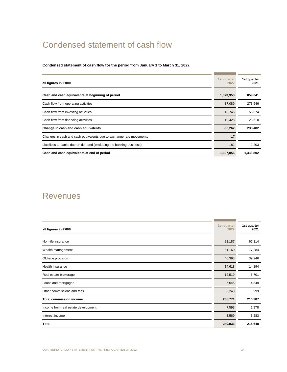# <span id="page-23-0"></span>Condensed statement of cash flow

### **Condensed statement of cash flow for the period from January 1 to March 31, 2022**

| all figures in €'000                                                | 1st quarter<br>2022 | 1st quarter<br>2021 |
|---------------------------------------------------------------------|---------------------|---------------------|
| Cash and cash equivalents at beginning of period                    | 1,373,953           | 859,041             |
| Cash flow from operating activities                                 | $-37,089$           | 273,546             |
| Cash flow from investing activities                                 | $-18,745$           | $-58,674$           |
| Cash flow from financing activities                                 | $-10,428$           | 23,610              |
| Change in cash and cash equivalents                                 | $-66,262$           | 238,482             |
| Changes in cash and cash equivalents due to exchange rate movements | $-17$               |                     |
| Liabilities to banks due on demand (excluding the banking business) | 182                 | $-2,203$            |
| Cash and cash equivalents at end of period                          | 1,307,856           | 1,333,802           |

## <span id="page-23-1"></span>Revenues

| all figures in €'000                | 1st quarter<br>2022 | 1st quarter<br>2021 |
|-------------------------------------|---------------------|---------------------|
| Non-life insurance                  | 82,187              | 67,114              |
| Wealth management                   | 81,160              | 77,284              |
| Old-age provision                   | 40,393              | 39,246              |
| Health insurance                    | 14,618              | 14,194              |
| Real estate brokerage               | 12,519              | 6,701               |
| Loans and mortgages                 | 5,645               | 4,849               |
| Other commissions and fees          | 2,248               | 999                 |
| <b>Total commission income</b>      | 238,771             | 210,387             |
| Income from real estate development | 7,593               | 1,978               |
| Interest income                     | 3,569               | 3,283               |
| <b>Total</b>                        | 249,933             | 215,648             |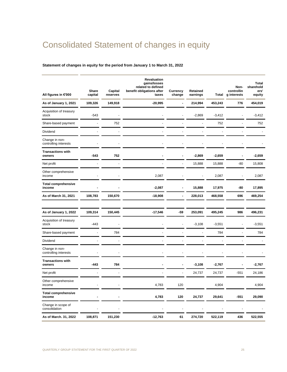# <span id="page-24-0"></span>Consolidated Statement of changes in equity

### **Statement of changes in equity for the period from January 1 to March 31, 2022**

| All figures in €'000                    | Share<br>capital | Capital<br>reserves | <b>Revaluation</b><br>gains/losses<br>related to defined<br>benefit obligations after<br>taxes | Currency<br>change | Retained<br>earnings | Total    | Non-<br>controllin<br>g interests | Total<br>sharehold<br>ers'<br>equity |
|-----------------------------------------|------------------|---------------------|------------------------------------------------------------------------------------------------|--------------------|----------------------|----------|-----------------------------------|--------------------------------------|
| As of January 1, 2021                   | 109,326          | 149,918             | $-20,995$                                                                                      | L,                 | 214,994              | 453,243  | 776                               | 454,019                              |
| Acquisition of treasury<br>stock        | $-543$           |                     |                                                                                                |                    | $-2,869$             | $-3,412$ |                                   | $-3,412$                             |
| Share-based payment                     |                  | 752                 |                                                                                                |                    |                      | 752      |                                   | 752                                  |
| Dividend                                |                  |                     |                                                                                                |                    |                      |          |                                   |                                      |
| Change in non-<br>controlling interests |                  |                     |                                                                                                |                    |                      |          |                                   |                                      |
| <b>Transactions with</b><br>owners      | $-543$           | 752                 |                                                                                                |                    | $-2,869$             | $-2,659$ |                                   | $-2,659$                             |
| Net profit                              |                  |                     |                                                                                                |                    | 15,888               | 15,888   | $-80$                             | 15,808                               |
| Other comprehensive<br>income           |                  |                     | 2,087                                                                                          |                    |                      | 2,087    |                                   | 2,087                                |
| <b>Total comprehensive</b><br>income    |                  |                     | $-2,087$                                                                                       |                    | 15,888               | 17,975   | -80                               | 17,895                               |
| As of March 31, 2021                    | 108,783          | 150,670             | $-18,908$                                                                                      |                    | 228,013              | 468,558  | 696                               | 469,254                              |
|                                         |                  |                     |                                                                                                |                    |                      |          |                                   |                                      |
| As of January 1, 2022                   | 109,314          | 150,445             | $-17,546$                                                                                      | $-59$              | 253,091              | 495,245  | 986                               | 496,231                              |
| Acquisition of treasury<br>stock        | $-443$           |                     |                                                                                                |                    | $-3,108$             | $-3,551$ |                                   | $-3,551$                             |
| Share-based payment                     |                  | 784                 |                                                                                                |                    |                      | 784      |                                   | 784                                  |
| Dividend                                |                  |                     |                                                                                                |                    |                      |          |                                   |                                      |
| Change in non-<br>controlling interests |                  |                     |                                                                                                |                    |                      |          |                                   |                                      |
| <b>Transactions with</b><br>owners      | $-443$           | 784                 |                                                                                                |                    | $-3,108$             | $-2,767$ |                                   | $-2,767$                             |
| Net profit                              |                  |                     |                                                                                                |                    | 24,737               | 24,737   | $-551$                            | 24,186                               |
| Other comprehensive<br>income           |                  |                     | 4,783                                                                                          | 120                |                      | 4,904    |                                   | 4,904                                |
| <b>Total comprehensive</b><br>income    |                  |                     | 4,783                                                                                          | 120                | 24,737               | 29,641   | $-551$                            | 29,090                               |
| Change in scope of<br>consolidation     |                  |                     |                                                                                                |                    |                      |          |                                   |                                      |
| As of March. 31, 2022                   | 108,871          | 151,230             | $-12,763$                                                                                      | 61                 | 274,720              | 522,119  | 436                               | 522,555                              |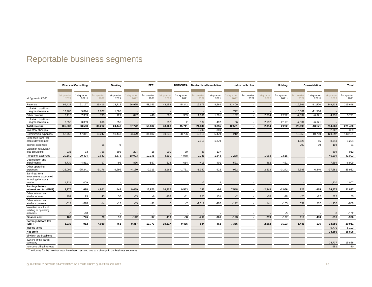# Reportable business segments

<span id="page-25-0"></span>

|                                                   | <b>Financial Consulting</b> |                     | <b>Banking</b>      |                     | <b>FERI</b>         |                     | <b>DOMCURA</b>      |                     | Deutschland.Immobilien |                     | <b>Industrial broker</b> |                     | Holding             |                      | Consolidation         |                          | Total               |                     |
|---------------------------------------------------|-----------------------------|---------------------|---------------------|---------------------|---------------------|---------------------|---------------------|---------------------|------------------------|---------------------|--------------------------|---------------------|---------------------|----------------------|-----------------------|--------------------------|---------------------|---------------------|
|                                                   |                             |                     |                     |                     |                     |                     |                     |                     |                        |                     |                          |                     |                     |                      |                       |                          |                     |                     |
| all figures in €'000                              | 1st quarter<br>2022         | 1st quarter<br>2021 | 1st quarter<br>2022 | 1st quarter<br>2021 | 1st quarter<br>2022 | 1st quarter<br>2021 | 1st quarter<br>2022 | 1st quarter<br>2021 | 1st quarter<br>2022    | 1st quarter<br>2021 | 1st quarter<br>2022      | 1st quarter<br>2021 | 1st quarter<br>2022 | 1st quarter<br>20211 | 1st quarter<br>2022   | 1st quarter<br>2021      | Ist quarter<br>2022 | 1st quarter<br>2021 |
| Revenue                                           | 99,422                      | 91,177              | 29,416              | 23,712              | 56,925              | 58,353              | 48,158              | 45,342              | 19,973                 | 8,564               | 12,400                   |                     |                     | $\sim$               | $-16,361$             | $-11,500$                | 249,933             | 215,648             |
| of which total inter-                             |                             |                     |                     |                     |                     |                     |                     |                     |                        |                     |                          |                     |                     |                      |                       |                          |                     |                     |
| segment revenue<br>Other revenue                  | 13,763<br>6,115             | 9,894<br>7,383      | 1,827<br>795        | 1,605<br>729        | 847                 | 448                 | 806                 | 369                 | 1,061                  | 1,291               | 772<br>132               |                     | 2,314               | 2,222                | $-16,361$<br>$-7,334$ | $-11,500$<br>$-6,671$    | 4,735               | 5,771               |
| of which total inter-                             |                             |                     |                     |                     |                     |                     |                     |                     |                        |                     |                          |                     |                     |                      |                       |                          |                     |                     |
| segment revenue                                   | 3,658                       | 3,339               | 696                 | 656                 |                     |                     | 257                 | $\overline{2}$      | 534                    | 497                 | 36                       |                     | 2,152               | 2,177                | $-7,334$              | $-6.671$                 |                     |                     |
| <b>Total revenue</b>                              | 105,538                     | 98,560              | 30,212              | 24,440              | 57,772              | 58,802              | 48,963              | 45,711              | 21,034                 | 9,855               | 12,531                   |                     | 2,314               | 2,222                | $-23,696$             | $-18,171$                | 254,668             | 221,420             |
| Inventory changes                                 |                             |                     |                     |                     |                     |                     |                     |                     | 2,702                  | $-389$              |                          |                     |                     |                      |                       |                          | 2,702               | $-389$              |
| Commission expenses                               | $-52,756$                   | $-47,311$           | $-13,247$           | $-10,443$           | $-33,479$           | $-31,892$           | $-30,845$           | $-28,726$           | $-12,516$              | $-5,479$            | $-212$                   |                     |                     |                      | 18,658                | 10,700                   | $-124,397$          | $-113,151$          |
| Expenses from real                                |                             |                     |                     |                     |                     |                     |                     |                     |                        |                     |                          |                     |                     |                      |                       |                          |                     |                     |
| estate development                                |                             |                     |                     |                     |                     |                     |                     |                     | $-7,118$               | $-1,279$            |                          |                     |                     |                      | $-1,525$              | 55                       | $-8,643$            | $-1,224$            |
| Interest expenses                                 |                             |                     | 96                  | 9                   |                     |                     |                     |                     |                        |                     |                          |                     |                     |                      | $-200$                | $-90$                    | $-104$              | $-81$               |
| Valuation result/loan<br>loss provisions          | $-235$                      | $-73$               | 756                 | $-595$              | 204                 | $-18$               | $-209$              | $-89$               | 88                     | $-137$              |                          |                     |                     |                      |                       |                          | 604                 | $-912$              |
| Personnel expenses                                | $-20,160$                   | $-20,434$           | $-3,643$            | $-3,578$            | $-10,023$           | $-10,145$           | $-4,890$            | $-4,978$            | $-2,236$               | $-1,343$            | $-3,288$                 | ×                   | $-1,963$            | $-1,515$             |                       | $\overline{\phantom{a}}$ | $-46,204$           | $-41,993$           |
| Depreciation and                                  |                             |                     |                     |                     |                     |                     |                     |                     |                        |                     |                          |                     |                     |                      |                       |                          |                     |                     |
| impairments                                       | $-4,739$                    | $-4,811$            | $-97$               | $-96$               | $-836$              | $-557$              | $-624$              | $-614$              | $-415$                 | $-401$              | $-521$                   |                     | $-462$              | $-431$               |                       |                          | $-7,694$            | $-6,909$            |
| Other operating                                   | $-25,099$                   | $-25,241$           | $-9,176$            | $-9,296$            | $-4,180$            | $-2,319$            | $-2,168$            | $-1,751$            | $-1,352$               | $-922$              | $-962$                   |                     | $-2,232$            | $-3,242$             | 7,588                 | 6,840                    | $-37,581$           | $-35,932$           |
| expenses<br>Earnings from                         |                             |                     |                     |                     |                     |                     |                     |                     |                        |                     |                          |                     |                     |                      |                       |                          |                     |                     |
| investments accounted                             |                             |                     |                     |                     |                     |                     |                     |                     |                        |                     |                          |                     |                     |                      |                       |                          |                     |                     |
| for using the equity                              |                             |                     |                     |                     |                     |                     |                     |                     |                        |                     |                          |                     |                     |                      |                       |                          |                     |                     |
| method                                            | 1,221                       | 1,009               |                     |                     |                     |                     |                     |                     | $-2$                   | $-2$                |                          |                     |                     |                      |                       |                          | 1,220               | 1,007               |
| <b>Earnings before</b><br>interest and tax (EBIT) | 3,770                       | 1,698               | 4,901               | 442                 | 9,459               | 13,870              | 10,227              | 9,553               | 185                    | -96                 | 7,548                    |                     | $-2,343$            | $-2,966$             | 825                   | $-665$                   | 34,572              | 21,837              |
| Other interest and                                |                             |                     |                     |                     |                     |                     |                     |                     |                        |                     |                          |                     |                     |                      |                       |                          |                     |                     |
| similar income                                    | 491                         | 29                  | 43                  | 30                  | $-53$               | -6                  | $-109$              | $-81$               | 250                    | 131                 | $-2$                     |                     | $-78$               | $-28$                | $-20$                 | $-12$                    | 522                 | 65                  |
| Other interest and                                |                             |                     |                     |                     |                     |                     |                     |                     |                        |                     |                          |                     |                     |                      |                       |                          |                     |                     |
| similar expenses<br>Valuation result not          | $-317$                      | $-678$              | $-14$               | $-12$               | $-89$               | $-91$               | $-0$                | $-7$                | $-1,019$               | $-497$              | $-192$                   |                     | $-141$              | $-105$               | 639                   | 502                      | $-1,132$            | $-889$              |
| relating to operating                             |                             |                     |                     |                     |                     |                     |                     |                     |                        |                     |                          |                     |                     |                      |                       |                          |                     |                     |
| activities                                        | $-5$                        | -98                 |                     |                     |                     |                     |                     |                     |                        |                     |                          |                     |                     | -5                   |                       |                          | $-5$                | $-102$              |
| <b>Finance cost</b>                               | 169                         | $-746$              | 29                  | 18                  | $-142$              | $-97$               | $-110$              | $-88$               | $-769$                 | $-366$              | $-193$                   |                     | $-219$              | $-137$               | 619                   | 490                      | $-616$              | $-926$              |
| Earnings before tax<br>(EBT)                      | 3,939                       | 952                 | 4,930               | 461                 | 9,317               |                     | 10,117              | 9,465               | $-584$                 | $-462$              | 7,355                    |                     | $-2,562$            | $-3,103$             | 1,445                 | $-175$                   |                     |                     |
| Income taxes                                      |                             |                     |                     |                     |                     | 13,773              |                     |                     |                        |                     |                          |                     |                     |                      |                       |                          | 33,956<br>$-9,770$  | 20,911<br>$-5,103$  |
| Net profit                                        |                             |                     |                     |                     |                     |                     |                     |                     |                        |                     |                          |                     |                     |                      |                       |                          | 24,186              | 15,808              |
| of which attributable to                          |                             |                     |                     |                     |                     |                     |                     |                     |                        |                     |                          |                     |                     |                      |                       |                          |                     |                     |
| owners of the parent                              |                             |                     |                     |                     |                     |                     |                     |                     |                        |                     |                          |                     |                     |                      |                       |                          |                     |                     |
| company                                           |                             |                     |                     |                     |                     |                     |                     |                     |                        |                     |                          |                     |                     |                      |                       |                          | 24,737              | 15,888              |
| non-controlling interests                         |                             |                     |                     |                     |                     |                     |                     |                     |                        |                     |                          |                     |                     |                      |                       |                          | $-551$              | $-80$               |

<sup>1</sup> The figures for the previous year have been restated due to a change in the business segments